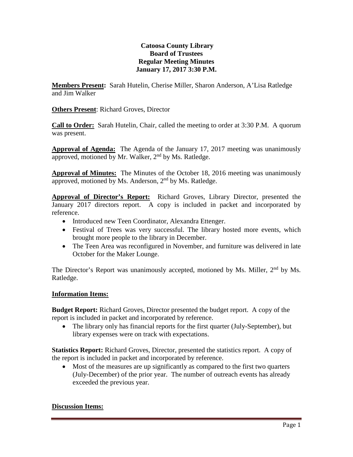# **Catoosa County Library Board of Trustees Regular Meeting Minutes January 17, 2017 3:30 P.M.**

**Members Present:** Sarah Hutelin, Cherise Miller, Sharon Anderson, A'Lisa Ratledge and Jim Walker

**Others Present**: Richard Groves, Director

**Call to Order:** Sarah Hutelin, Chair, called the meeting to order at 3:30 P.M. A quorum was present.

**Approval of Agenda:** The Agenda of the January 17, 2017 meeting was unanimously approved, motioned by Mr. Walker,  $2<sup>nd</sup>$  by Ms. Ratledge.

**Approval of Minutes:** The Minutes of the October 18, 2016 meeting was unanimously approved, motioned by Ms. Anderson, 2<sup>nd</sup> by Ms. Ratledge.

**Approval of Director's Report:** Richard Groves, Library Director, presented the January 2017 directors report. A copy is included in packet and incorporated by reference.

- Introduced new Teen Coordinator, Alexandra Ettenger.
- Festival of Trees was very successful. The library hosted more events, which brought more people to the library in December.
- The Teen Area was reconfigured in November, and furniture was delivered in late October for the Maker Lounge.

The Director's Report was unanimously accepted, motioned by Ms. Miller, 2<sup>nd</sup> by Ms. Ratledge.

#### **Information Items:**

**Budget Report:** Richard Groves, Director presented the budget report. A copy of the report is included in packet and incorporated by reference.

• The library only has financial reports for the first quarter (July-September), but library expenses were on track with expectations.

**Statistics Report:** Richard Groves, Director, presented the statistics report. A copy of the report is included in packet and incorporated by reference.

• Most of the measures are up significantly as compared to the first two quarters (July-December) of the prior year. The number of outreach events has already exceeded the previous year.

#### **Discussion Items:**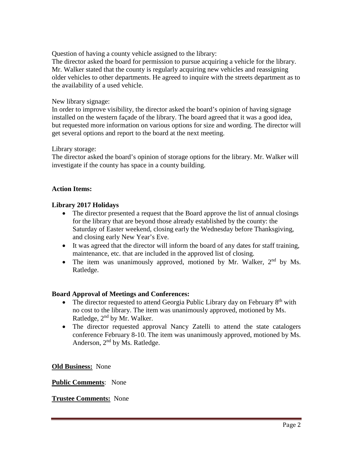Question of having a county vehicle assigned to the library:

The director asked the board for permission to pursue acquiring a vehicle for the library. Mr. Walker stated that the county is regularly acquiring new vehicles and reassigning older vehicles to other departments. He agreed to inquire with the streets department as to the availability of a used vehicle.

### New library signage:

In order to improve visibility, the director asked the board's opinion of having signage installed on the western façade of the library. The board agreed that it was a good idea, but requested more information on various options for size and wording. The director will get several options and report to the board at the next meeting.

### Library storage:

The director asked the board's opinion of storage options for the library. Mr. Walker will investigate if the county has space in a county building.

### **Action Items:**

# **Library 2017 Holidays**

- The director presented a request that the Board approve the list of annual closings for the library that are beyond those already established by the county: the Saturday of Easter weekend, closing early the Wednesday before Thanksgiving, and closing early New Year's Eve.
- It was agreed that the director will inform the board of any dates for staff training, maintenance, etc. that are included in the approved list of closing.
- The item was unanimously approved, motioned by Mr. Walker,  $2<sup>nd</sup>$  by Ms. Ratledge.

# **Board Approval of Meetings and Conferences:**

- The director requested to attend Georgia Public Library day on February  $8<sup>th</sup>$  with no cost to the library. The item was unanimously approved, motioned by Ms. Ratledge, 2nd by Mr. Walker.
- The director requested approval Nancy Zatelli to attend the state catalogers conference February 8-10. The item was unanimously approved, motioned by Ms. Anderson, 2<sup>nd</sup> by Ms. Ratledge.

**Old Business:** None

# **Public Comments**: None

# **Trustee Comments:** None